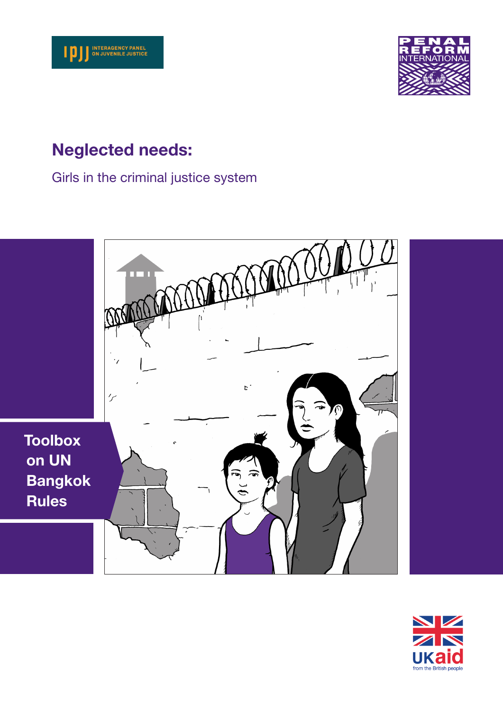



# Neglected needs:

Girls in the criminal justice system



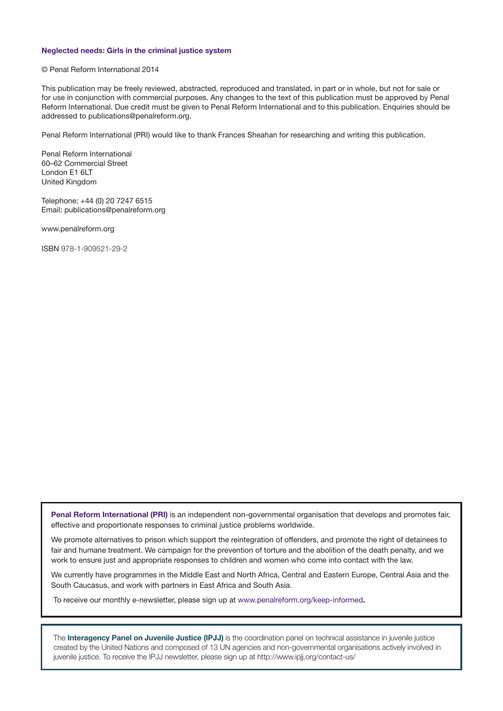#### Neglected needs: Girls in the criminal justice system

#### © Penal Reform International 2014

This publication may be freely reviewed, abstracted, reproduced and translated, in part or in whole, but not for sale or for use in conjunction with commercial purposes. Any changes to the text of this publication must be approved by Penal Reform International. Due credit must be given to Penal Reform International and to this publication. Enquiries should be addressed to publications@penalreform.org.

Penal Reform International (PRI) would like to thank Frances Sheahan for researching and writing this publication.

Penal Reform International 60–62 Commercial Street London E1 6LT United Kingdom

Telephone: +44 (0) 20 7247 6515 Email: publications@penalreform.org

www.penalreform.org

ISBN 978-1-909521-29-2

Penal Reform International (PRI) is an independent non-governmental organisation that develops and promotes fair, effective and proportionate responses to criminal justice problems worldwide.

We promote alternatives to prison which support the reintegration of offenders, and promote the right of detainees to fair and humane treatment. We campaign for the prevention of torture and the abolition of the death penalty, and we work to ensure just and appropriate responses to children and women who come into contact with the law.

We currently have programmes in the Middle East and North Africa, Central and Eastern Europe, Central Asia and the South Caucasus, and work with partners in East Africa and South Asia.

To receive our monthly e-newsletter, please sign up at www.penalreform.org/keep-informed.

The Interagency Panel on Juvenile Justice (IPJJ) is the coordination panel on technical assistance in juvenile justice created by the United Nations and composed of 13 UN agencies and non-governmental organisations actively involved in juvenile justice. To receive the IPJJ newsletter, please sign up at http://www.ipjj.org/contact-us/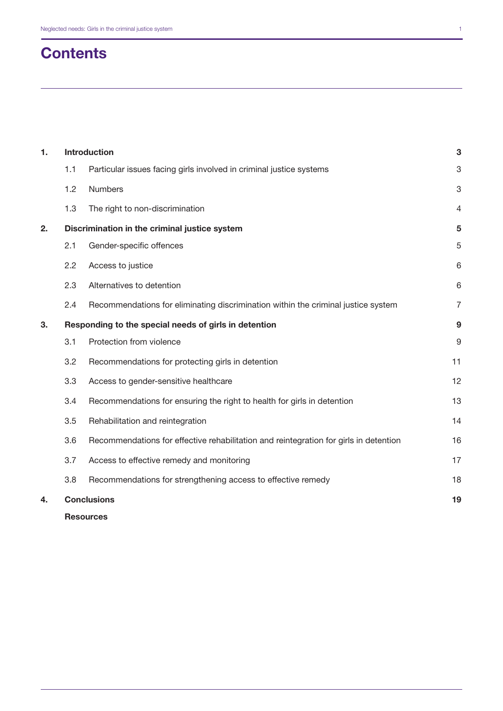# **Contents**

| 1. | <b>Introduction</b> |                                                                                       | 3  |
|----|---------------------|---------------------------------------------------------------------------------------|----|
|    | 1.1                 | Particular issues facing girls involved in criminal justice systems                   | 3  |
|    | 1.2                 | Numbers                                                                               | 3  |
|    | 1.3                 | The right to non-discrimination                                                       | 4  |
| 2. |                     | Discrimination in the criminal justice system                                         | 5  |
|    | 2.1                 | Gender-specific offences                                                              | 5  |
|    | 2.2                 | Access to justice                                                                     | 6  |
|    | 2.3                 | Alternatives to detention                                                             | 6  |
|    | 2.4                 | Recommendations for eliminating discrimination within the criminal justice system     | 7  |
| 3. |                     | Responding to the special needs of girls in detention                                 | 9  |
|    | 3.1                 | Protection from violence                                                              | 9  |
|    | 3.2                 | Recommendations for protecting girls in detention                                     | 11 |
|    | 3.3                 | Access to gender-sensitive healthcare                                                 | 12 |
|    | 3.4                 | Recommendations for ensuring the right to health for girls in detention               | 13 |
|    | 3.5                 | Rehabilitation and reintegration                                                      | 14 |
|    | 3.6                 | Recommendations for effective rehabilitation and reintegration for girls in detention | 16 |
|    | 3.7                 | Access to effective remedy and monitoring                                             | 17 |
|    | 3.8                 | Recommendations for strengthening access to effective remedy                          | 18 |
| 4. |                     | <b>Conclusions</b>                                                                    | 19 |
|    |                     |                                                                                       |    |

**[Resources](#page-21-0)**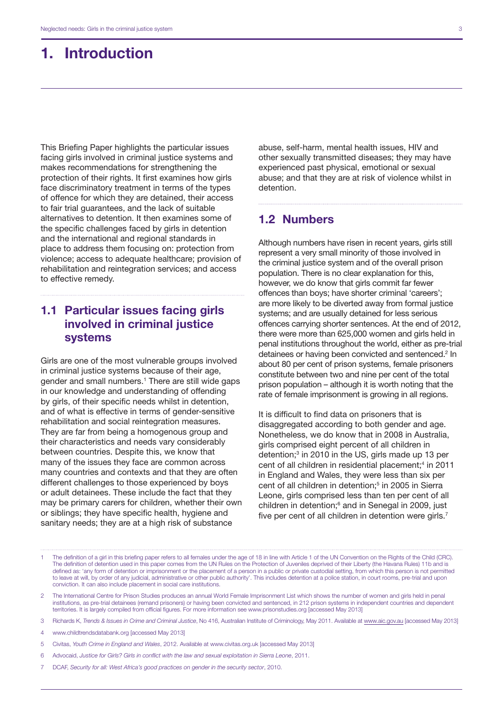# <span id="page-4-0"></span>1. Introduction

This Briefing Paper highlights the particular issues facing girls involved in criminal justice systems and makes recommendations for strengthening the protection of their rights. It first examines how girls face discriminatory treatment in terms of the types of offence for which they are detained, their access to fair trial guarantees, and the lack of suitable alternatives to detention. It then examines some of the specific challenges faced by girls in detention and the international and regional standards in place to address them focusing on: protection from violence; access to adequate healthcare; provision of rehabilitation and reintegration services; and access to effective remedy.

# 1.1 Particular issues facing girls involved in criminal justice systems

Girls are one of the most vulnerable groups involved in criminal justice systems because of their age, gender and small numbers.<sup>1</sup> There are still wide gaps in our knowledge and understanding of offending by girls, of their specific needs whilst in detention, and of what is effective in terms of gender-sensitive rehabilitation and social reintegration measures. They are far from being a homogenous group and their characteristics and needs vary considerably between countries. Despite this, we know that many of the issues they face are common across many countries and contexts and that they are often different challenges to those experienced by boys or adult detainees. These include the fact that they may be primary carers for children, whether their own or siblings; they have specific health, hygiene and sanitary needs; they are at a high risk of substance

abuse, self-harm, mental health issues, HIV and other sexually transmitted diseases; they may have experienced past physical, emotional or sexual abuse; and that they are at risk of violence whilst in detention.

## 1.2 Numbers

Although numbers have risen in recent years, girls still represent a very small minority of those involved in the criminal justice system and of the overall prison population. There is no clear explanation for this, however, we do know that girls commit far fewer offences than boys; have shorter criminal 'careers'; are more likely to be diverted away from formal justice systems; and are usually detained for less serious offences carrying shorter sentences. At the end of 2012, there were more than 625,000 women and girls held in penal institutions throughout the world, either as pre-trial detainees or having been convicted and sentenced.<sup>2</sup> In about 80 per cent of prison systems, female prisoners constitute between two and nine per cent of the total prison population – although it is worth noting that the rate of female imprisonment is growing in all regions.

It is difficult to find data on prisoners that is disaggregated according to both gender and age. Nonetheless, we do know that in 2008 in Australia, girls comprised eight percent of all children in detention;<sup>3</sup> in 2010 in the US, girls made up 13 per cent of all children in residential placement;<sup>4</sup> in 2011 in England and Wales, they were less than six per cent of all children in detention;<sup>5</sup> in 2005 in Sierra Leone, girls comprised less than ten per cent of all children in detention;<sup>6</sup> and in Senegal in 2009, just five per cent of all children in detention were girls.<sup>7</sup>

- 4 www.childtrendsdatabank.org [accessed May 2013]
- 5 Civitas, *Youth Crime in England and Wales*, 2012. Available at www.civitas.org.uk [accessed May 2013]
- 6 Advocaid, *Justice for Girls? Girls in conflict with the law and sexual exploitation in Sierra Leone*, 2011.
- 7 DCAF, *Security for all: West Africa's good practices on gender in the security sector*, 2010.

<sup>1</sup> The definition of a girl in this briefing paper refers to all females under the age of 18 in line with Article 1 of the UN Convention on the Rights of the Child (CRC). The definition of detention used in this paper comes from the UN Rules on the Protection of Juveniles deprived of their Liberty (the Havana Rules) 11b and is defined as: 'any form of detention or imprisonment or the placement of a person in a public or private custodial setting, from which this person is not permitted to leave at will, by order of any judicial, administrative or other public authority'. This includes detention at a police station, in court rooms, pre-trial and upon conviction. It can also include placement in social care institutions.

<sup>2</sup> The International Centre for Prison Studies produces an annual World Female Imprisonment List which shows the number of women and girls held in penal institutions, as pre-trial detainees (remand prisoners) or having been convicted and sentenced, in 212 prison systems in independent countries and dependent territories. It is largely compiled from official figures. For more information see www.prisonstudies.org [accessed May 2013]

<sup>3</sup> Richards K, *Trends & Issues in Crime and Criminal Justice*, No 416, Australian Institute of Criminology, May 2011. Available at www.aic.gov.au [accessed May 2013]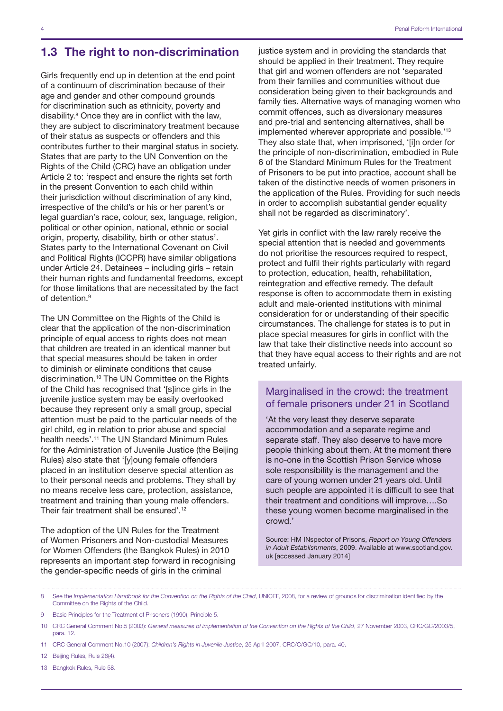## <span id="page-5-0"></span>1.3 The right to non-discrimination

Girls frequently end up in detention at the end point of a continuum of discrimination because of their age and gender and other compound grounds for discrimination such as ethnicity, poverty and disability.<sup>8</sup> Once they are in conflict with the law, they are subject to discriminatory treatment because of their status as suspects or offenders and this contributes further to their marginal status in society. States that are party to the UN Convention on the Rights of the Child (CRC) have an obligation under Article 2 to: 'respect and ensure the rights set forth in the present Convention to each child within their jurisdiction without discrimination of any kind, irrespective of the child's or his or her parent's or legal guardian's race, colour, sex, language, religion, political or other opinion, national, ethnic or social origin, property, disability, birth or other status'. States party to the International Covenant on Civil and Political Rights (ICCPR) have similar obligations under Article 24. Detainees – including girls – retain their human rights and fundamental freedoms, except for those limitations that are necessitated by the fact of detention.9

The UN Committee on the Rights of the Child is clear that the application of the non-discrimination principle of equal access to rights does not mean that children are treated in an identical manner but that special measures should be taken in order to diminish or eliminate conditions that cause discrimination.10 The UN Committee on the Rights of the Child has recognised that '[s]ince girls in the juvenile justice system may be easily overlooked because they represent only a small group, special attention must be paid to the particular needs of the girl child, eg in relation to prior abuse and special health needs'.11 The UN Standard Minimum Rules for the Administration of Juvenile Justice (the Beijing Rules) also state that '[y]oung female offenders placed in an institution deserve special attention as to their personal needs and problems. They shall by no means receive less care, protection, assistance, treatment and training than young male offenders. Their fair treatment shall be ensured'.<sup>12</sup>

The adoption of the UN Rules for the Treatment of Women Prisoners and Non-custodial Measures for Women Offenders (the Bangkok Rules) in 2010 represents an important step forward in recognising the gender-specific needs of girls in the criminal

justice system and in providing the standards that should be applied in their treatment. They require that girl and women offenders are not 'separated from their families and communities without due consideration being given to their backgrounds and family ties. Alternative ways of managing women who commit offences, such as diversionary measures and pre-trial and sentencing alternatives, shall be implemented wherever appropriate and possible.'13 They also state that, when imprisoned, '[i]n order for the principle of non-discrimination, embodied in Rule 6 of the Standard Minimum Rules for the Treatment of Prisoners to be put into practice, account shall be taken of the distinctive needs of women prisoners in the application of the Rules. Providing for such needs in order to accomplish substantial gender equality shall not be regarded as discriminatory'.

Yet girls in conflict with the law rarely receive the special attention that is needed and governments do not prioritise the resources required to respect, protect and fulfil their rights particularly with regard to protection, education, health, rehabilitation, reintegration and effective remedy. The default response is often to accommodate them in existing adult and male-oriented institutions with minimal consideration for or understanding of their specific circumstances. The challenge for states is to put in place special measures for girls in conflict with the law that take their distinctive needs into account so that they have equal access to their rights and are not treated unfairly.

## Marginalised in the crowd: the treatment of female prisoners under 21 in Scotland

'At the very least they deserve separate accommodation and a separate regime and separate staff. They also deserve to have more people thinking about them. At the moment there is no-one in the Scottish Prison Service whose sole responsibility is the management and the care of young women under 21 years old. Until such people are appointed it is difficult to see that their treatment and conditions will improve….So these young women become marginalised in the crowd.'

Source: HM INspector of Prisons, *Report on Young Offenders in Adult Establishments*, 2009. Available at www.scotland.gov. uk [accessed January 2014]

- 11 CRC General Comment No.10 (2007): *Children's Rights in Juvenile Justice*, 25 April 2007, CRC/C/GC/10, para. 40.
- 12 Beijing Rules, Rule 26(4).
- 13 Bangkok Rules, Rule 58.

<sup>8</sup> See the *Implementation Handbook for the Convention on the Rights of the Child*, UNICEF, 2008, for a review of grounds for discrimination identified by the Committee on the Rights of the Child.

<sup>9</sup> Basic Principles for the Treatment of Prisoners (1990), Principle 5.

<sup>10</sup> CRC General Comment No.5 (2003): *General measures of implementation of the Convention on the Rights of the Child*, 27 November 2003, CRC/GC/2003/5, para. 12.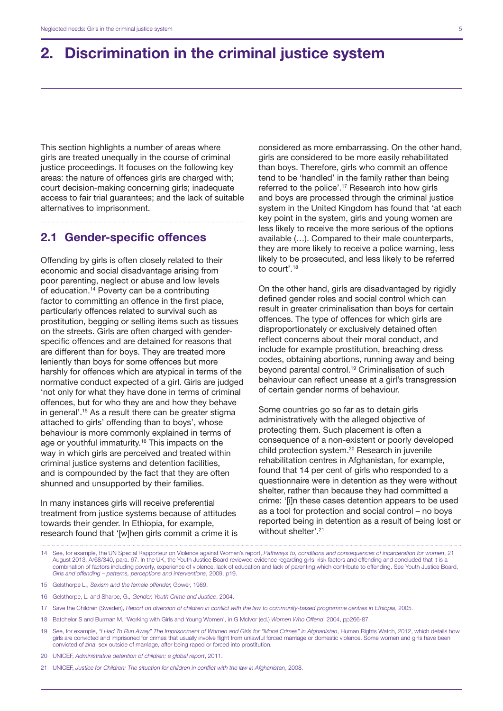# <span id="page-6-0"></span>2. Discrimination in the criminal justice system

This section highlights a number of areas where girls are treated unequally in the course of criminal justice proceedings. It focuses on the following key areas: the nature of offences girls are charged with; court decision-making concerning girls; inadequate access to fair trial guarantees; and the lack of suitable alternatives to imprisonment.

## 2.1 Gender-specific offences

Offending by girls is often closely related to their economic and social disadvantage arising from poor parenting, neglect or abuse and low levels of education.14 Poverty can be a contributing factor to committing an offence in the first place, particularly offences related to survival such as prostitution, begging or selling items such as tissues on the streets. Girls are often charged with genderspecific offences and are detained for reasons that are different than for boys. They are treated more leniently than boys for some offences but more harshly for offences which are atypical in terms of the normative conduct expected of a girl. Girls are judged 'not only for what they have done in terms of criminal offences, but for who they are and how they behave in general'.15 As a result there can be greater stigma attached to girls' offending than to boys', whose behaviour is more commonly explained in terms of age or youthful immaturity.<sup>16</sup> This impacts on the way in which girls are perceived and treated within criminal justice systems and detention facilities, and is compounded by the fact that they are often shunned and unsupported by their families.

In many instances girls will receive preferential treatment from justice systems because of attitudes towards their gender. In Ethiopia, for example, research found that '[w]hen girls commit a crime it is considered as more embarrassing. On the other hand, girls are considered to be more easily rehabilitated than boys. Therefore, girls who commit an offence tend to be 'handled' in the family rather than being referred to the police'.17 Research into how girls and boys are processed through the criminal justice system in the United Kingdom has found that 'at each key point in the system, girls and young women are less likely to receive the more serious of the options available (…). Compared to their male counterparts, they are more likely to receive a police warning, less likely to be prosecuted, and less likely to be referred to court'.18

On the other hand, girls are disadvantaged by rigidly defined gender roles and social control which can result in greater criminalisation than boys for certain offences. The type of offences for which girls are disproportionately or exclusively detained often reflect concerns about their moral conduct, and include for example prostitution, breaching dress codes, obtaining abortions, running away and being beyond parental control.19 Criminalisation of such behaviour can reflect unease at a girl's transgression of certain gender norms of behaviour.

Some countries go so far as to detain girls administratively with the alleged objective of protecting them. Such placement is often a consequence of a non-existent or poorly developed child protection system.<sup>20</sup> Research in juvenile rehabilitation centres in Afghanistan, for example, found that 14 per cent of girls who responded to a questionnaire were in detention as they were without shelter, rather than because they had committed a crime: '[i]n these cases detention appears to be used as a tool for protection and social control – no boys reported being in detention as a result of being lost or without shelter'.<sup>21</sup>

15 Gelsthorpe L., *Sexism and the female offender,* Gower, 1989.

- 18 Batchelor S and Burman M, 'Working with Girls and Young Women', in G McIvor (ed.) *Women Who Offend*, 2004, pp266-87.
- 19 See, for example, *"I Had To Run Away" The Imprisonment of Women and Girls for "Moral Crimes" in Afghanistan*, Human Rights Watch, 2012, which details how girls are convicted and imprisoned for crimes that usually involve flight from unlawful forced marriage or domestic violence. Some women and girls have been convicted of *zina*, sex outside of marriage, after being raped or forced into prostitution.
- 20 UNICEF, *Administrative detention of children: a global report*, 2011.
- 21 UNICEF, *Justice for Children: The situation for children in conflict with the law in Afghanistan*, 2008.

<sup>14</sup> See, for example, the UN Special Rapporteur on Violence against Women's report, *Pathways to, conditions and consequences of incarceration for women*, 21 August 2013, A/68/340, para. 67. In the UK, the Youth Justice Board reviewed evidence regarding girls' risk factors and offending and concluded that it is a combination of factors including poverty, experience of violence, lack of education and lack of parenting which contribute to offending. See Youth Justice Board, *Girls and offending – patterns, perceptions and interventions*, 2009, p19.

<sup>16</sup> Gelsthorpe, L. and Sharpe, G.*, Gender, Youth Crime and Justice*, 2004.

<sup>17</sup> Save the Children (Sweden), *Report on diversion of children in conflict with the law to community-based programme centres in Ethiopia*, 2005.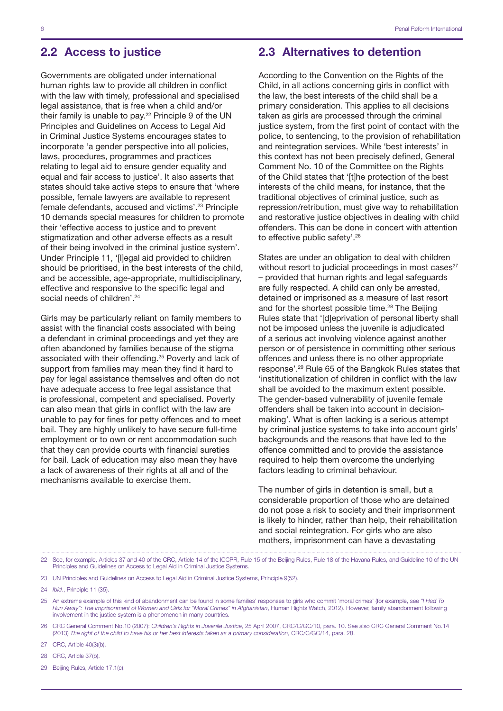## <span id="page-7-0"></span>2.2 Access to justice

Governments are obligated under international human rights law to provide all children in conflict with the law with timely, professional and specialised legal assistance, that is free when a child and/or their family is unable to pay.<sup>22</sup> Principle 9 of the UN Principles and Guidelines on Access to Legal Aid in Criminal Justice Systems encourages states to incorporate 'a gender perspective into all policies, laws, procedures, programmes and practices relating to legal aid to ensure gender equality and equal and fair access to justice'. It also asserts that states should take active steps to ensure that 'where possible, female lawyers are available to represent female defendants, accused and victims'.<sup>23</sup> Principle 10 demands special measures for children to promote their 'effective access to justice and to prevent stigmatization and other adverse effects as a result of their being involved in the criminal justice system'. Under Principle 11, '[l]egal aid provided to children should be prioritised, in the best interests of the child, and be accessible, age-appropriate, multidisciplinary, effective and responsive to the specific legal and social needs of children'.<sup>24</sup>

Girls may be particularly reliant on family members to assist with the financial costs associated with being a defendant in criminal proceedings and yet they are often abandoned by families because of the stigma associated with their offending.25 Poverty and lack of support from families may mean they find it hard to pay for legal assistance themselves and often do not have adequate access to free legal assistance that is professional, competent and specialised. Poverty can also mean that girls in conflict with the law are unable to pay for fines for petty offences and to meet bail. They are highly unlikely to have secure full-time employment or to own or rent accommodation such that they can provide courts with financial sureties for bail. Lack of education may also mean they have a lack of awareness of their rights at all and of the mechanisms available to exercise them.

## 2.3 Alternatives to detention

According to the Convention on the Rights of the Child, in all actions concerning girls in conflict with the law, the best interests of the child shall be a primary consideration. This applies to all decisions taken as girls are processed through the criminal justice system, from the first point of contact with the police, to sentencing, to the provision of rehabilitation and reintegration services. While 'best interests' in this context has not been precisely defined, General Comment No. 10 of the Committee on the Rights of the Child states that '[t]he protection of the best interests of the child means, for instance, that the traditional objectives of criminal justice, such as repression/retribution, must give way to rehabilitation and restorative justice objectives in dealing with child offenders. This can be done in concert with attention to effective public safety'.26

States are under an obligation to deal with children without resort to judicial proceedings in most cases $27$ – provided that human rights and legal safeguards are fully respected. A child can only be arrested, detained or imprisoned as a measure of last resort and for the shortest possible time.<sup>28</sup> The Beijing Rules state that '[d]eprivation of personal liberty shall not be imposed unless the juvenile is adjudicated of a serious act involving violence against another person or of persistence in committing other serious offences and unless there is no other appropriate response'.29 Rule 65 of the Bangkok Rules states that 'institutionalization of children in conflict with the law shall be avoided to the maximum extent possible. The gender-based vulnerability of juvenile female offenders shall be taken into account in decisionmaking'. What is often lacking is a serious attempt by criminal justice systems to take into account girls' backgrounds and the reasons that have led to the offence committed and to provide the assistance required to help them overcome the underlying factors leading to criminal behaviour.

The number of girls in detention is small, but a considerable proportion of those who are detained do not pose a risk to society and their imprisonment is likely to hinder, rather than help, their rehabilitation and social reintegration. For girls who are also mothers, imprisonment can have a devastating

23 UN Principles and Guidelines on Access to Legal Aid in Criminal Justice Systems, Principle 9(52).

24 *Ibid*., Principle 11 (35).

25 An extreme example of this kind of abandonment can be found in some families' responses to girls who commit 'moral crimes' (for example, see *"I Had To Run Away": The Imprisonment of Women and Girls for "Moral Crimes" in Afghanistan*, Human Rights Watch, 2012). However, family abandonment following involvement in the justice system is a phenomenon in many countries.

26 CRC General Comment No.10 (2007): *Children's Rights in Juvenile Justice*, 25 April 2007, CRC/C/GC/10, para. 10. See also CRC General Comment No.14 (2013) *The right of the child to have his or her best interests taken as a primary consideration,* CRC/C/GC/14, para. 28.

27 CRC, Article 40(3)(b).

28 CRC, Article 37(b).

29 Beijing Rules, Article 17.1(c).

<sup>22</sup> See, for example, Articles 37 and 40 of the CRC, Article 14 of the ICCPR, Rule 15 of the Beijing Rules, Rule 18 of the Havana Rules, and Guideline 10 of the UN Principles and Guidelines on Access to Legal Aid in Criminal Justice Systems.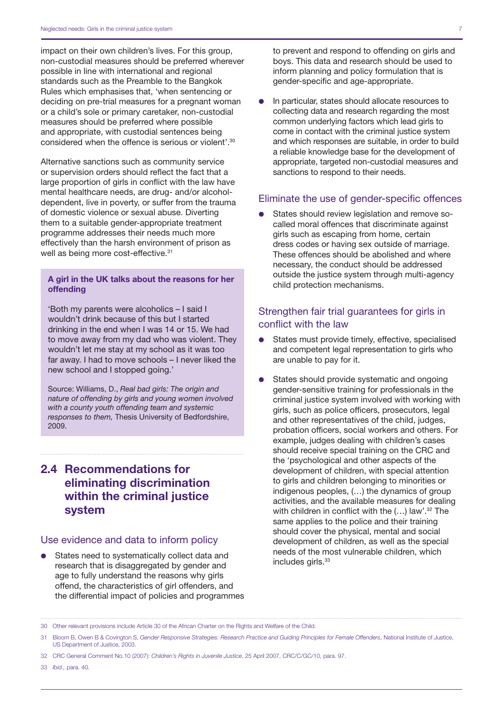<span id="page-8-0"></span>impact on their own children's lives. For this group, non-custodial measures should be preferred wherever possible in line with international and regional standards such as the Preamble to the Bangkok Rules which emphasises that, 'when sentencing or deciding on pre-trial measures for a pregnant woman or a child's sole or primary caretaker, non-custodial measures should be preferred where possible and appropriate, with custodial sentences being considered when the offence is serious or violent'.30

Alternative sanctions such as community service or supervision orders should reflect the fact that a large proportion of girls in conflict with the law have mental healthcare needs, are drug- and/or alcoholdependent, live in poverty, or suffer from the trauma of domestic violence or sexual abuse. Diverting them to a suitable gender-appropriate treatment programme addresses their needs much more effectively than the harsh environment of prison as well as being more cost-effective.<sup>31</sup>

#### A girl in the UK talks about the reasons for her offending

'Both my parents were alcoholics – I said I wouldn't drink because of this but I started drinking in the end when I was 14 or 15. We had to move away from my dad who was violent. They wouldn't let me stay at my school as it was too far away. I had to move schools – I never liked the new school and I stopped going.'

Source: Williams, D., *Real bad girls: The origin and nature of offending by girls and young women involved with a county youth offending team and systemic responses to them,* Thesis University of Bedfordshire, 2009.

# 2.4 Recommendations for eliminating discrimination within the criminal justice system

### Use evidence and data to inform policy

States need to systematically collect data and research that is disaggregated by gender and age to fully understand the reasons why girls offend, the characteristics of girl offenders, and the differential impact of policies and programmes to prevent and respond to offending on girls and boys. This data and research should be used to inform planning and policy formulation that is gender-specific and age-appropriate.

In particular, states should allocate resources to collecting data and research regarding the most common underlying factors which lead girls to come in contact with the criminal justice system and which responses are suitable, in order to build a reliable knowledge base for the development of appropriate, targeted non-custodial measures and sanctions to respond to their needs.

#### Eliminate the use of gender-specific offences

States should review legislation and remove socalled moral offences that discriminate against girls such as escaping from home, certain dress codes or having sex outside of marriage. These offences should be abolished and where necessary, the conduct should be addressed outside the justice system through multi-agency child protection mechanisms.

## Strengthen fair trial guarantees for girls in conflict with the law

- States must provide timely, effective, specialised and competent legal representation to girls who are unable to pay for it.
- States should provide systematic and ongoing gender-sensitive training for professionals in the criminal justice system involved with working with girls, such as police officers, prosecutors, legal and other representatives of the child, judges, probation officers, social workers and others. For example, judges dealing with children's cases should receive special training on the CRC and the 'psychological and other aspects of the development of children, with special attention to girls and children belonging to minorities or indigenous peoples, (…) the dynamics of group activities, and the available measures for dealing with children in conflict with the  $(...)$  law'.<sup>32</sup> The same applies to the police and their training should cover the physical, mental and social development of children, as well as the special needs of the most vulnerable children, which includes girls.<sup>33</sup>

33 *Ibid.,* para. 40.

<sup>30</sup> Other relevant provisions include Article 30 of the African Charter on the Rights and Welfare of the Child.

<sup>31</sup> Bloom B, Owen B & Covington S, *Gender Responsive Strategies: Research Practice and Guiding Principles for Female Offenders*, National Institute of Justice, US Department of Justice, 2003.

<sup>32</sup> CRC General Comment No.10 (2007): *Children's Rights in Juvenile Justice*, 25 April 2007, CRC/C/GC/10, para. 97.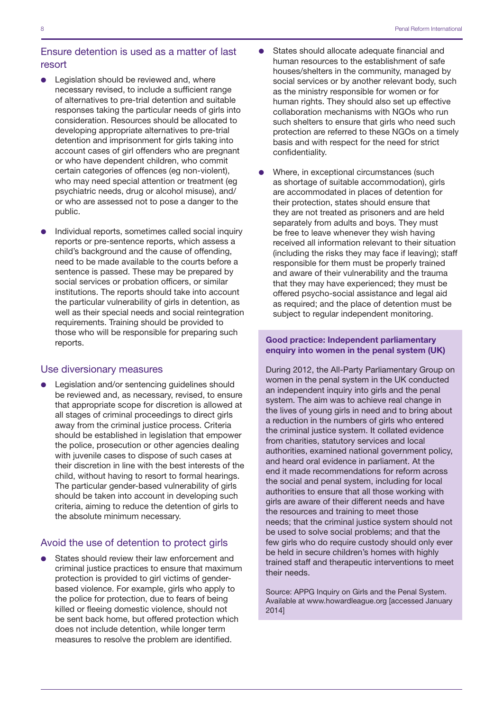## Ensure detention is used as a matter of last resort

- Legislation should be reviewed and, where necessary revised, to include a sufficient range of alternatives to pre-trial detention and suitable responses taking the particular needs of girls into consideration. Resources should be allocated to developing appropriate alternatives to pre-trial detention and imprisonment for girls taking into account cases of girl offenders who are pregnant or who have dependent children, who commit certain categories of offences (eg non-violent), who may need special attention or treatment (eg psychiatric needs, drug or alcohol misuse), and/ or who are assessed not to pose a danger to the public.
- Individual reports, sometimes called social inquiry reports or pre-sentence reports, which assess a child's background and the cause of offending, need to be made available to the courts before a sentence is passed. These may be prepared by social services or probation officers, or similar institutions. The reports should take into account the particular vulnerability of girls in detention, as well as their special needs and social reintegration requirements. Training should be provided to those who will be responsible for preparing such reports.

#### Use diversionary measures

Legislation and/or sentencing guidelines should be reviewed and, as necessary, revised, to ensure that appropriate scope for discretion is allowed at all stages of criminal proceedings to direct girls away from the criminal justice process. Criteria should be established in legislation that empower the police, prosecution or other agencies dealing with juvenile cases to dispose of such cases at their discretion in line with the best interests of the child, without having to resort to formal hearings. The particular gender-based vulnerability of girls should be taken into account in developing such criteria, aiming to reduce the detention of girls to the absolute minimum necessary.

#### Avoid the use of detention to protect girls

States should review their law enforcement and criminal justice practices to ensure that maximum protection is provided to girl victims of genderbased violence. For example, girls who apply to the police for protection, due to fears of being killed or fleeing domestic violence, should not be sent back home, but offered protection which does not include detention, while longer term measures to resolve the problem are identified.

- D States should allocate adequate financial and human resources to the establishment of safe houses/shelters in the community, managed by social services or by another relevant body, such as the ministry responsible for women or for human rights. They should also set up effective collaboration mechanisms with NGOs who run such shelters to ensure that girls who need such protection are referred to these NGOs on a timely basis and with respect for the need for strict confidentiality.
- Where, in exceptional circumstances (such as shortage of suitable accommodation), girls are accommodated in places of detention for their protection, states should ensure that they are not treated as prisoners and are held separately from adults and boys. They must be free to leave whenever they wish having received all information relevant to their situation (including the risks they may face if leaving); staff responsible for them must be properly trained and aware of their vulnerability and the trauma that they may have experienced; they must be offered psycho-social assistance and legal aid as required; and the place of detention must be subject to regular independent monitoring.

#### Good practice: Independent parliamentary enquiry into women in the penal system (UK)

During 2012, the All-Party Parliamentary Group on women in the penal system in the UK conducted an independent inquiry into girls and the penal system. The aim was to achieve real change in the lives of young girls in need and to bring about a reduction in the numbers of girls who entered the criminal justice system. It collated evidence from charities, statutory services and local authorities, examined national government policy, and heard oral evidence in parliament. At the end it made recommendations for reform across the social and penal system, including for local authorities to ensure that all those working with girls are aware of their different needs and have the resources and training to meet those needs; that the criminal justice system should not be used to solve social problems; and that the few girls who do require custody should only ever be held in secure children's homes with highly trained staff and therapeutic interventions to meet their needs.

Source: APPG Inquiry on Girls and the Penal System. Available at www.howardleague.org [accessed January 2014]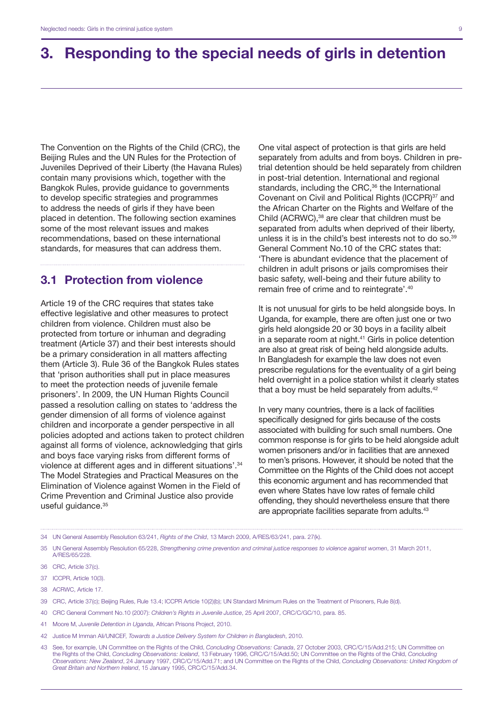# <span id="page-10-0"></span>3. Responding to the special needs of girls in detention

The Convention on the Rights of the Child (CRC), the Beijing Rules and the UN Rules for the Protection of Juveniles Deprived of their Liberty (the Havana Rules) contain many provisions which, together with the Bangkok Rules, provide guidance to governments to develop specific strategies and programmes to address the needs of girls if they have been placed in detention. The following section examines some of the most relevant issues and makes recommendations, based on these international standards, for measures that can address them.

## 3.1 Protection from violence

Article 19 of the CRC requires that states take effective legislative and other measures to protect children from violence. Children must also be protected from torture or inhuman and degrading treatment (Article 37) and their best interests should be a primary consideration in all matters affecting them (Article 3). Rule 36 of the Bangkok Rules states that 'prison authorities shall put in place measures to meet the protection needs of juvenile female prisoners'. In 2009, the UN Human Rights Council passed a resolution calling on states to 'address the gender dimension of all forms of violence against children and incorporate a gender perspective in all policies adopted and actions taken to protect children against all forms of violence, acknowledging that girls and boys face varying risks from different forms of violence at different ages and in different situations'.34 The Model Strategies and Practical Measures on the Elimination of Violence against Women in the Field of Crime Prevention and Criminal Justice also provide useful guidance.<sup>35</sup>

One vital aspect of protection is that girls are held separately from adults and from boys. Children in pretrial detention should be held separately from children in post-trial detention. International and regional standards, including the CRC,<sup>36</sup> the International Covenant on Civil and Political Rights (ICCPR)<sup>37</sup> and the African Charter on the Rights and Welfare of the Child (ACRWC),38 are clear that children must be separated from adults when deprived of their liberty, unless it is in the child's best interests not to do so.39 General Comment No.10 of the CRC states that: 'There is abundant evidence that the placement of children in adult prisons or jails compromises their basic safety, well-being and their future ability to remain free of crime and to reintegrate'.<sup>40</sup>

It is not unusual for girls to be held alongside boys. In Uganda, for example, there are often just one or two girls held alongside 20 or 30 boys in a facility albeit in a separate room at night.<sup>41</sup> Girls in police detention are also at great risk of being held alongside adults. In Bangladesh for example the law does not even prescribe regulations for the eventuality of a girl being held overnight in a police station whilst it clearly states that a boy must be held separately from adults.<sup>42</sup>

In very many countries, there is a lack of facilities specifically designed for girls because of the costs associated with building for such small numbers. One common response is for girls to be held alongside adult women prisoners and/or in facilities that are annexed to men's prisons. However, it should be noted that the Committee on the Rights of the Child does not accept this economic argument and has recommended that even where States have low rates of female child offending, they should nevertheless ensure that there are appropriate facilities separate from adults.<sup>43</sup>

```
34 UN General Assembly Resolution 63/241, Rights of the Child, 13 March 2009, A/RES/63/241, para. 27(k).
```
35 UN General Assembly Resolution 65/228, *Strengthening crime prevention and criminal justice responses to violence against women*, 31 March 2011, A/RES/65/228.

40 CRC General Comment No.10 (2007): *Children's Rights in Juvenile Justice*, 25 April 2007, CRC/C/GC/10, para. 85.

42 Justice M Imman Ali/UNICEF, *Towards a Justice Delivery System for Children in Bangladesh*, 2010.

<sup>36</sup> CRC, Article 37(c).

<sup>37</sup> ICCPR, Article 10(3).

<sup>38</sup> ACRWC, Article 17.

<sup>39</sup> CRC, Article 37(c); Beijing Rules, Rule 13.4; ICCPR Article 10(2)(b); UN Standard Minimum Rules on the Treatment of Prisoners, Rule 8(d).

<sup>41</sup> Moore M, *Juvenile Detention in Uganda*, African Prisons Project, 2010.

<sup>43</sup> See, for example, UN Committee on the Rights of the Child, *Concluding Observations: Canada*, 27 October 2003, CRC/C/15/Add.215; UN Committee on the Rights of the Child, *Concluding Observations: Iceland*, 13 February 1996, CRC/C/15/Add.50; UN Committee on the Rights of the Child, *Concluding Observations: New Zealand*, 24 January 1997, CRC/C/15/Add.71; and UN Committee on the Rights of the Child, *Concluding Observations: United Kingdom of Great Britain and Northern Ireland*, 15 January 1995, CRC/C/15/Add.34.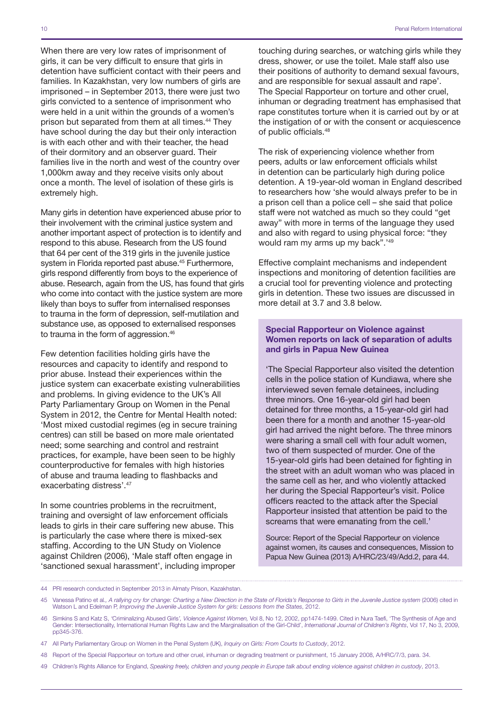When there are very low rates of imprisonment of girls, it can be very difficult to ensure that girls in detention have sufficient contact with their peers and families. In Kazakhstan, very low numbers of girls are imprisoned – in September 2013, there were just two girls convicted to a sentence of imprisonment who were held in a unit within the grounds of a women's prison but separated from them at all times.<sup>44</sup> They have school during the day but their only interaction is with each other and with their teacher, the head of their dormitory and an observer guard. Their families live in the north and west of the country over 1,000km away and they receive visits only about once a month. The level of isolation of these girls is extremely high.

Many girls in detention have experienced abuse prior to their involvement with the criminal justice system and another important aspect of protection is to identify and respond to this abuse. Research from the US found that 64 per cent of the 319 girls in the juvenile justice system in Florida reported past abuse.<sup>45</sup> Furthermore, girls respond differently from boys to the experience of abuse. Research, again from the US, has found that girls who come into contact with the justice system are more likely than boys to suffer from internalised responses to trauma in the form of depression, self-mutilation and substance use, as opposed to externalised responses to trauma in the form of aggression.<sup>46</sup>

Few detention facilities holding girls have the resources and capacity to identify and respond to prior abuse. Instead their experiences within the justice system can exacerbate existing vulnerabilities and problems. In giving evidence to the UK's All Party Parliamentary Group on Women in the Penal System in 2012, the Centre for Mental Health noted: 'Most mixed custodial regimes (eg in secure training centres) can still be based on more male orientated need; some searching and control and restraint practices, for example, have been seen to be highly counterproductive for females with high histories of abuse and trauma leading to flashbacks and exacerbating distress'.47

In some countries problems in the recruitment, training and oversight of law enforcement officials leads to girls in their care suffering new abuse. This is particularly the case where there is mixed-sex staffing. According to the UN Study on Violence against Children (2006), 'Male staff often engage in 'sanctioned sexual harassment', including improper touching during searches, or watching girls while they dress, shower, or use the toilet. Male staff also use their positions of authority to demand sexual favours, and are responsible for sexual assault and rape'. The Special Rapporteur on torture and other cruel, inhuman or degrading treatment has emphasised that rape constitutes torture when it is carried out by or at the instigation of or with the consent or acquiescence of public officials.48

The risk of experiencing violence whether from peers, adults or law enforcement officials whilst in detention can be particularly high during police detention. A 19-year-old woman in England described to researchers how 'she would always prefer to be in a prison cell than a police cell – she said that police staff were not watched as much so they could "get away" with more in terms of the language they used and also with regard to using physical force: "they would ram my arms up my back".<sup>'49</sup>

Effective complaint mechanisms and independent inspections and monitoring of detention facilities are a crucial tool for preventing violence and protecting girls in detention. These two issues are discussed in more detail at 3.7 and 3.8 below.

#### Special Rapporteur on Violence against Women reports on lack of separation of adults and girls in Papua New Guinea

'The Special Rapporteur also visited the detention cells in the police station of Kundiawa, where she interviewed seven female detainees, including three minors. One 16-year-old girl had been detained for three months, a 15-year-old girl had been there for a month and another 15-year-old girl had arrived the night before. The three minors were sharing a small cell with four adult women, two of them suspected of murder. One of the 15-year-old girls had been detained for fighting in the street with an adult woman who was placed in the same cell as her, and who violently attacked her during the Special Rapporteur's visit. Police officers reacted to the attack after the Special Rapporteur insisted that attention be paid to the screams that were emanating from the cell.'

Source: Report of the Special Rapporteur on violence against women, its causes and consequences, Mission to Papua New Guinea (2013) A/HRC/23/49/Add.2, para 44.

- 47 All Party Parliamentary Group on Women in the Penal System (UK), *Inquiry on Girls: From Courts to Custody*, 2012.
- 48 Report of the Special Rapporteur on torture and other cruel, inhuman or degrading treatment or punishment, 15 January 2008, A/HRC/7/3, para. 34.
- 49 Children's Rights Alliance for England, *Speaking freely, children and young people in Europe talk about ending violence against children in custody*, 2013.

<sup>44</sup> PRI research conducted in September 2013 in Almaty Prison, Kazakhstan.

<sup>45</sup> Vanessa Patino et al*., A rallying cry for change: Charting a New Direction in the State of Florida's Response to Girls in the Juvenile Justice system* (2006) cited in Watson L and Edelman P, *Improving the Juvenile Justice System for girls: Lessons from the States*, 2012.

<sup>46</sup> Simkins S and Katz S, *'*Criminalizing Abused Girls*', Violence Against Women,* Vol 8, No 12, 2002, pp1474-1499. Cited in Nura Taefi, 'The Synthesis of Age and Gender: Intersectionality, International Human Rights Law and the Marginalisation of the Girl-Child', *International Journal of Children's Rights*, Vol 17, No 3, 2009, pp345-376.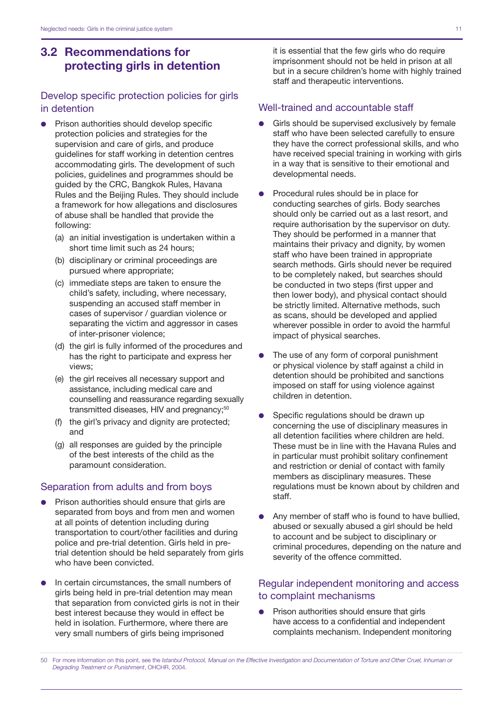# <span id="page-12-0"></span>3.2 Recommendations for protecting girls in detention

## Develop specific protection policies for girls in detention

- Prison authorities should develop specific protection policies and strategies for the supervision and care of girls, and produce guidelines for staff working in detention centres accommodating girls. The development of such policies, guidelines and programmes should be guided by the CRC, Bangkok Rules, Havana Rules and the Beijing Rules. They should include a framework for how allegations and disclosures of abuse shall be handled that provide the following:
	- (a) an initial investigation is undertaken within a short time limit such as 24 hours;
	- (b) disciplinary or criminal proceedings are pursued where appropriate;
	- (c) immediate steps are taken to ensure the child's safety, including, where necessary, suspending an accused staff member in cases of supervisor / guardian violence or separating the victim and aggressor in cases of inter-prisoner violence;
	- (d) the girl is fully informed of the procedures and has the right to participate and express her views;
	- (e) the girl receives all necessary support and assistance, including medical care and counselling and reassurance regarding sexually transmitted diseases, HIV and pregnancy;<sup>50</sup>
	- (f) the girl's privacy and dignity are protected; and
	- (g) all responses are guided by the principle of the best interests of the child as the paramount consideration.

### Separation from adults and from boys

- Prison authorities should ensure that girls are separated from boys and from men and women at all points of detention including during transportation to court/other facilities and during police and pre-trial detention. Girls held in pretrial detention should be held separately from girls who have been convicted.
- In certain circumstances, the small numbers of girls being held in pre-trial detention may mean that separation from convicted girls is not in their best interest because they would in effect be held in isolation. Furthermore, where there are very small numbers of girls being imprisoned

it is essential that the few girls who do require imprisonment should not be held in prison at all but in a secure children's home with highly trained staff and therapeutic interventions.

## Well-trained and accountable staff

- Girls should be supervised exclusively by female staff who have been selected carefully to ensure they have the correct professional skills, and who have received special training in working with girls in a way that is sensitive to their emotional and developmental needs.
- Procedural rules should be in place for conducting searches of girls. Body searches should only be carried out as a last resort, and require authorisation by the supervisor on duty. They should be performed in a manner that maintains their privacy and dignity, by women staff who have been trained in appropriate search methods. Girls should never be required to be completely naked, but searches should be conducted in two steps (first upper and then lower body), and physical contact should be strictly limited. Alternative methods, such as scans, should be developed and applied wherever possible in order to avoid the harmful impact of physical searches.
- The use of any form of corporal punishment or physical violence by staff against a child in detention should be prohibited and sanctions imposed on staff for using violence against children in detention.
- Specific regulations should be drawn up concerning the use of disciplinary measures in all detention facilities where children are held. These must be in line with the Havana Rules and in particular must prohibit solitary confinement and restriction or denial of contact with family members as disciplinary measures. These regulations must be known about by children and staff.
- Any member of staff who is found to have bullied, abused or sexually abused a girl should be held to account and be subject to disciplinary or criminal procedures, depending on the nature and severity of the offence committed.

## Regular independent monitoring and access to complaint mechanisms

Prison authorities should ensure that girls have access to a confidential and independent complaints mechanism. Independent monitoring

50 For more information on this point, see the *Istanbul Protocol, Manual on the Effective Investigation and Documentation of Torture and Other Cruel, Inhuman or Degrading Treatment or Punishment*, OHCHR, 2004.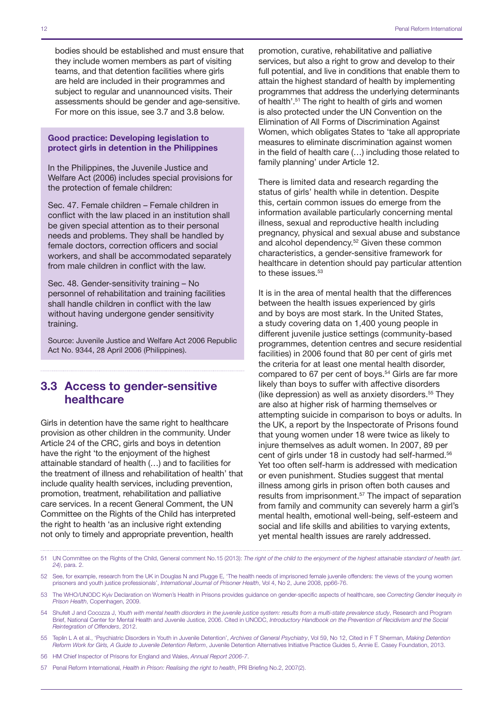bodies should be established and must ensure that they include women members as part of visiting teams, and that detention facilities where girls are held are included in their programmes and subject to regular and unannounced visits. Their assessments should be gender and age-sensitive. For more on this issue, see 3.7 and 3.8 below.

Good practice: Developing legislation to protect girls in detention in the Philippines

In the Philippines, the Juvenile Justice and Welfare Act (2006) includes special provisions for the protection of female children:

Sec. 47. Female children – Female children in conflict with the law placed in an institution shall be given special attention as to their personal needs and problems. They shall be handled by female doctors, correction officers and social workers, and shall be accommodated separately from male children in conflict with the law.

Sec. 48. Gender-sensitivity training – No personnel of rehabilitation and training facilities shall handle children in conflict with the law without having undergone gender sensitivity training.

Source: Juvenile Justice and Welfare Act 2006 Republic Act No. 9344, 28 April 2006 (Philippines).

## 3.3 Access to gender-sensitive healthcare

Girls in detention have the same right to healthcare provision as other children in the community. Under Article 24 of the CRC, girls and boys in detention have the right 'to the enjoyment of the highest attainable standard of health (…) and to facilities for the treatment of illness and rehabilitation of health' that include quality health services, including prevention, promotion, treatment, rehabilitation and palliative care services. In a recent General Comment, the UN Committee on the Rights of the Child has interpreted the right to health 'as an inclusive right extending not only to timely and appropriate prevention, health

promotion, curative, rehabilitative and palliative services, but also a right to grow and develop to their full potential, and live in conditions that enable them to attain the highest standard of health by implementing programmes that address the underlying determinants of health'.51 The right to health of girls and women is also protected under the UN Convention on the Elimination of All Forms of Discrimination Against Women, which obligates States to 'take all appropriate measures to eliminate discrimination against women in the field of health care (…) including those related to family planning' under Article 12.

There is limited data and research regarding the status of girls' health while in detention. Despite this, certain common issues do emerge from the information available particularly concerning mental illness, sexual and reproductive health including pregnancy, physical and sexual abuse and substance and alcohol dependency.<sup>52</sup> Given these common characteristics, a gender-sensitive framework for healthcare in detention should pay particular attention to these issues.<sup>53</sup>

It is in the area of mental health that the differences between the health issues experienced by girls and by boys are most stark. In the United States, a study covering data on 1,400 young people in different juvenile justice settings (community-based programmes, detention centres and secure residential facilities) in 2006 found that 80 per cent of girls met the criteria for at least one mental health disorder, compared to 67 per cent of boys.<sup>54</sup> Girls are far more likely than boys to suffer with affective disorders (like depression) as well as anxiety disorders.<sup>55</sup> They are also at higher risk of harming themselves or attempting suicide in comparison to boys or adults. In the UK, a report by the Inspectorate of Prisons found that young women under 18 were twice as likely to injure themselves as adult women. In 2007, 89 per cent of girls under 18 in custody had self-harmed.56 Yet too often self-harm is addressed with medication or even punishment. Studies suggest that mental illness among girls in prison often both causes and results from imprisonment.57 The impact of separation from family and community can severely harm a girl's mental health, emotional well-being, self-esteem and social and life skills and abilities to varying extents, yet mental health issues are rarely addressed.

- 51 UN Committee on the Rights of the Child, General comment No.15 (2013): *The right of the child to the enjoyment of the highest attainable standard of health (art. 24)*, para. 2.
- 52 See, for example, research from the UK in Douglas N and Plugge E, 'The health needs of imprisoned female juvenile offenders: the views of the young women prisoners and youth justice professionals', *International Journal of Prisoner Health*, Vol 4, No 2, June 2008, pp66-76.
- 53 The WHO/UNODC Kyiv Declaration on Women's Health in Prisons provides guidance on gender-specific aspects of healthcare, see *Correcting Gender Inequity in Prison Health*, Copenhagen, 2009.
- 54 Shufelt J and Cocozza J, *Youth with mental health disorders in the juvenile justice system: results from a multi-state prevalence study*, Research and Program Brief, National Center for Mental Health and Juvenile Justice, 2006. Cited in UNODC, *Introductory Handbook on the Prevention of Recidivism and the Social Reintegration of Offenders*, 2012.
- 55 Teplin L A et al., 'Psychiatric Disorders in Youth in Juvenile Detention', *Archives of General Psychiatry*, Vol 59, No 12, Cited in F T Sherman, *Making Detention Reform Work for Girls, A Guide to Juvenile Detention Reform*, Juvenile Detention Alternatives Initiative Practice Guides 5, Annie E. Casey Foundation, 2013.
- 56 HM Chief Inspector of Prisons for England and Wales, *Annual Report 2006-7*.

57 Penal Reform International, *Health in Prison: Realising the right to health*, PRI Briefing No.2, 2007(2).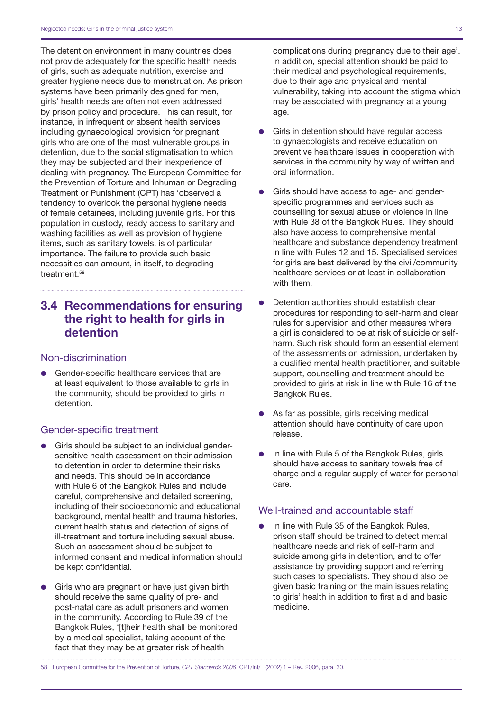<span id="page-14-0"></span>The detention environment in many countries does not provide adequately for the specific health needs of girls, such as adequate nutrition, exercise and greater hygiene needs due to menstruation. As prison systems have been primarily designed for men, girls' health needs are often not even addressed by prison policy and procedure. This can result, for instance, in infrequent or absent health services including gynaecological provision for pregnant girls who are one of the most vulnerable groups in detention, due to the social stigmatisation to which they may be subjected and their inexperience of dealing with pregnancy. The European Committee for the Prevention of Torture and Inhuman or Degrading Treatment or Punishment (CPT) has 'observed a tendency to overlook the personal hygiene needs of female detainees, including juvenile girls. For this population in custody, ready access to sanitary and washing facilities as well as provision of hygiene items, such as sanitary towels, is of particular importance. The failure to provide such basic necessities can amount, in itself, to degrading treatment.<sup>58</sup>

# 3.4 Recommendations for ensuring the right to health for girls in detention

## Non-discrimination

**•** Gender-specific healthcare services that are at least equivalent to those available to girls in the community, should be provided to girls in detention.

### Gender-specific treatment

- Girls should be subject to an individual gendersensitive health assessment on their admission to detention in order to determine their risks and needs. This should be in accordance with Rule 6 of the Bangkok Rules and include careful, comprehensive and detailed screening, including of their socioeconomic and educational background, mental health and trauma histories, current health status and detection of signs of ill-treatment and torture including sexual abuse. Such an assessment should be subject to informed consent and medical information should be kept confidential.
- Girls who are pregnant or have just given birth should receive the same quality of pre- and post-natal care as adult prisoners and women in the community. According to Rule 39 of the Bangkok Rules, '[t]heir health shall be monitored by a medical specialist, taking account of the fact that they may be at greater risk of health

complications during pregnancy due to their age'. In addition, special attention should be paid to their medical and psychological requirements, due to their age and physical and mental vulnerability, taking into account the stigma which may be associated with pregnancy at a young age.

- Girls in detention should have regular access to gynaecologists and receive education on preventive healthcare issues in cooperation with services in the community by way of written and oral information.
- Girls should have access to age- and genderspecific programmes and services such as counselling for sexual abuse or violence in line with Rule 38 of the Bangkok Rules. They should also have access to comprehensive mental healthcare and substance dependency treatment in line with Rules 12 and 15. Specialised services for girls are best delivered by the civil/community healthcare services or at least in collaboration with them.
- Detention authorities should establish clear procedures for responding to self-harm and clear rules for supervision and other measures where a girl is considered to be at risk of suicide or selfharm. Such risk should form an essential element of the assessments on admission, undertaken by a qualified mental health practitioner, and suitable support, counselling and treatment should be provided to girls at risk in line with Rule 16 of the Bangkok Rules.
- As far as possible, girls receiving medical attention should have continuity of care upon release.
- In line with Rule 5 of the Bangkok Rules, girls should have access to sanitary towels free of charge and a regular supply of water for personal care.

#### Well-trained and accountable staff

In line with Rule 35 of the Bangkok Rules, prison staff should be trained to detect mental healthcare needs and risk of self-harm and suicide among girls in detention, and to offer assistance by providing support and referring such cases to specialists. They should also be given basic training on the main issues relating to girls' health in addition to first aid and basic medicine.

<sup>58</sup> European Committee for the Prevention of Torture, *CPT Standards 2006*, CPT/Inf/E (2002) 1 – Rev. 2006, para. 30.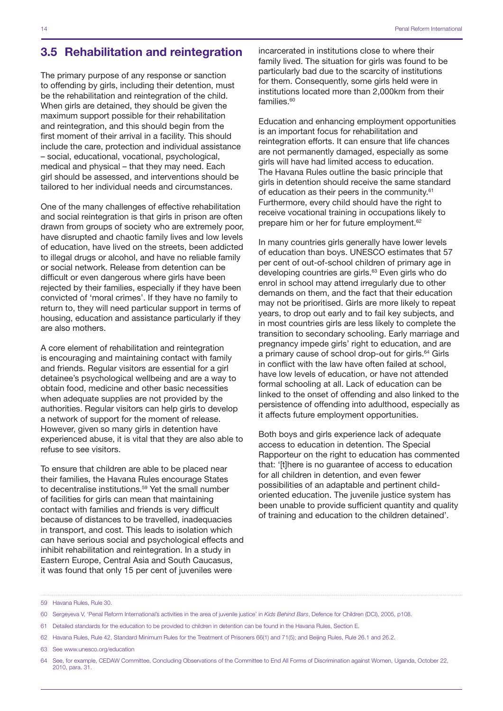# <span id="page-15-0"></span>3.5 Rehabilitation and reintegration

The primary purpose of any response or sanction to offending by girls, including their detention, must be the rehabilitation and reintegration of the child. When girls are detained, they should be given the maximum support possible for their rehabilitation and reintegration, and this should begin from the first moment of their arrival in a facility. This should include the care, protection and individual assistance – social, educational, vocational, psychological, medical and physical – that they may need. Each girl should be assessed, and interventions should be tailored to her individual needs and circumstances.

One of the many challenges of effective rehabilitation and social reintegration is that girls in prison are often drawn from groups of society who are extremely poor, have disrupted and chaotic family lives and low levels of education, have lived on the streets, been addicted to illegal drugs or alcohol, and have no reliable family or social network. Release from detention can be difficult or even dangerous where girls have been rejected by their families, especially if they have been convicted of 'moral crimes'. If they have no family to return to, they will need particular support in terms of housing, education and assistance particularly if they are also mothers.

A core element of rehabilitation and reintegration is encouraging and maintaining contact with family and friends. Regular visitors are essential for a girl detainee's psychological wellbeing and are a way to obtain food, medicine and other basic necessities when adequate supplies are not provided by the authorities. Regular visitors can help girls to develop a network of support for the moment of release. However, given so many girls in detention have experienced abuse, it is vital that they are also able to refuse to see visitors.

To ensure that children are able to be placed near their families, the Havana Rules encourage States to decentralise institutions.<sup>59</sup> Yet the small number of facilities for girls can mean that maintaining contact with families and friends is very difficult because of distances to be travelled, inadequacies in transport, and cost. This leads to isolation which can have serious social and psychological effects and inhibit rehabilitation and reintegration. In a study in Eastern Europe, Central Asia and South Caucasus, it was found that only 15 per cent of juveniles were

incarcerated in institutions close to where their family lived. The situation for girls was found to be particularly bad due to the scarcity of institutions for them. Consequently, some girls held were in institutions located more than 2,000km from their families. $60$ 

Education and enhancing employment opportunities is an important focus for rehabilitation and reintegration efforts. It can ensure that life chances are not permanently damaged, especially as some girls will have had limited access to education. The Havana Rules outline the basic principle that girls in detention should receive the same standard of education as their peers in the community.<sup>61</sup> Furthermore, every child should have the right to receive vocational training in occupations likely to prepare him or her for future employment.62

In many countries girls generally have lower levels of education than boys. UNESCO estimates that 57 per cent of out-of-school children of primary age in developing countries are girls.<sup>63</sup> Even girls who do enrol in school may attend irregularly due to other demands on them, and the fact that their education may not be prioritised. Girls are more likely to repeat years, to drop out early and to fail key subjects, and in most countries girls are less likely to complete the transition to secondary schooling. Early marriage and pregnancy impede girls' right to education, and are a primary cause of school drop-out for girls.<sup>64</sup> Girls in conflict with the law have often failed at school, have low levels of education, or have not attended formal schooling at all. Lack of education can be linked to the onset of offending and also linked to the persistence of offending into adulthood, especially as it affects future employment opportunities.

Both boys and girls experience lack of adequate access to education in detention. The Special Rapporteur on the right to education has commented that: '[t]here is no guarantee of access to education for all children in detention, and even fewer possibilities of an adaptable and pertinent childoriented education. The juvenile justice system has been unable to provide sufficient quantity and quality of training and education to the children detained'.

<sup>59</sup> Havana Rules, Rule 30.

<sup>60</sup> Sergeyeva V, 'Penal Reform International's activities in the area of juvenile justice' in *Kids Behind Bars*, Defence for Children (DCI), 2005, p108.

<sup>61</sup> Detailed standards for the education to be provided to children in detention can be found in the Havana Rules, Section E.

<sup>62</sup> Havana Rules, Rule 42, Standard Minimum Rules for the Treatment of Prisoners 66(1) and 71(5); and Beijing Rules, Rule 26.1 and 26.2.

<sup>63</sup> See www.unesco.org/education

<sup>64</sup> See, for example, CEDAW Committee, Concluding Observations of the Committee to End All Forms of Discrimination against Women, Uganda, October 22, 2010, para. 31.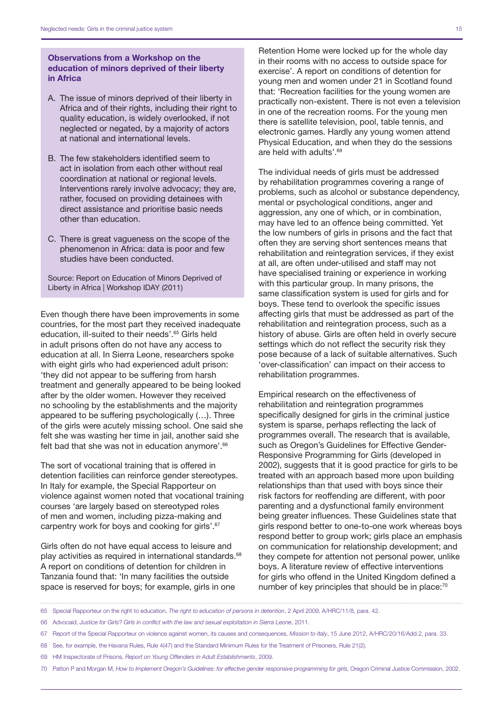#### Observations from a Workshop on the education of minors deprived of their liberty in Africa

- A. The issue of minors deprived of their liberty in Africa and of their rights, including their right to quality education, is widely overlooked, if not neglected or negated, by a majority of actors at national and international levels.
- B. The few stakeholders identified seem to act in isolation from each other without real coordination at national or regional levels. Interventions rarely involve advocacy; they are, rather, focused on providing detainees with direct assistance and prioritise basic needs other than education.
- C. There is great vagueness on the scope of the phenomenon in Africa: data is poor and few studies have been conducted.

Source: Report on Education of Minors Deprived of Liberty in Africa | Workshop IDAY (2011)

Even though there have been improvements in some countries, for the most part they received inadequate education, ill-suited to their needs'.65 Girls held in adult prisons often do not have any access to education at all. In Sierra Leone, researchers spoke with eight girls who had experienced adult prison: 'they did not appear to be suffering from harsh treatment and generally appeared to be being looked after by the older women. However they received no schooling by the establishments and the majority appeared to be suffering psychologically (…). Three of the girls were acutely missing school. One said she felt she was wasting her time in jail, another said she felt bad that she was not in education anymore'.<sup>66</sup>

The sort of vocational training that is offered in detention facilities can reinforce gender stereotypes. In Italy for example, the Special Rapporteur on violence against women noted that vocational training courses 'are largely based on stereotyped roles of men and women, including pizza-making and carpentry work for boys and cooking for girls'.67

Girls often do not have equal access to leisure and play activities as required in international standards.<sup>68</sup> A report on conditions of detention for children in Tanzania found that: 'In many facilities the outside space is reserved for boys; for example, girls in one

Retention Home were locked up for the whole day in their rooms with no access to outside space for exercise'. A report on conditions of detention for young men and women under 21 in Scotland found that: 'Recreation facilities for the young women are practically non-existent. There is not even a television in one of the recreation rooms. For the young men there is satellite television, pool, table tennis, and electronic games. Hardly any young women attend Physical Education, and when they do the sessions are held with adults'.69

The individual needs of girls must be addressed by rehabilitation programmes covering a range of problems, such as alcohol or substance dependency, mental or psychological conditions, anger and aggression, any one of which, or in combination, may have led to an offence being committed. Yet the low numbers of girls in prisons and the fact that often they are serving short sentences means that rehabilitation and reintegration services, if they exist at all, are often under-utilised and staff may not have specialised training or experience in working with this particular group. In many prisons, the same classification system is used for girls and for boys. These tend to overlook the specific issues affecting girls that must be addressed as part of the rehabilitation and reintegration process, such as a history of abuse. Girls are often held in overly secure settings which do not reflect the security risk they pose because of a lack of suitable alternatives. Such 'over-classification' can impact on their access to rehabilitation programmes.

Empirical research on the effectiveness of rehabilitation and reintegration programmes specifically designed for girls in the criminal justice system is sparse, perhaps reflecting the lack of programmes overall. The research that is available, such as Oregon's Guidelines for Effective Gender-Responsive Programming for Girls (developed in 2002), suggests that it is good practice for girls to be treated with an approach based more upon building relationships than that used with boys since their risk factors for reoffending are different, with poor parenting and a dysfunctional family environment being greater influences. These Guidelines state that girls respond better to one-to-one work whereas boys respond better to group work; girls place an emphasis on communication for relationship development; and they compete for attention not personal power, unlike boys. A literature review of effective interventions for girls who offend in the United Kingdom defined a number of key principles that should be in place:<sup>70</sup>

<sup>65</sup> Special Rapporteur on the right to education, *The right to education of persons in detention*, 2 April 2009, A/HRC/11/8, para. 42.

<sup>66</sup> Advocaid, *Justice for Girls? Girls in conflict with the law and sexual exploitation in Sierra Leone*, 2011.

<sup>67</sup> Report of the Special Rapporteur on violence against women, its causes and consequences, *Mission to Italy*, 15 June 2012, A/HRC/20/16/Add.2, para. 33.

<sup>68</sup> See, for example, the Havana Rules, Rule 4(47) and the Standard Minimum Rules for the Treatment of Prisoners, Rule 21(2).

<sup>69</sup> HM Inspectorate of Prisons, *Report on Young Offenders in Adult Establishments*, 2009.

<sup>70</sup> Patton P and Morgan M, *How to Implement Oregon's Guidelines: for effective gender responsive programming for girls*, Oregon Criminal Justice Commission, 2002.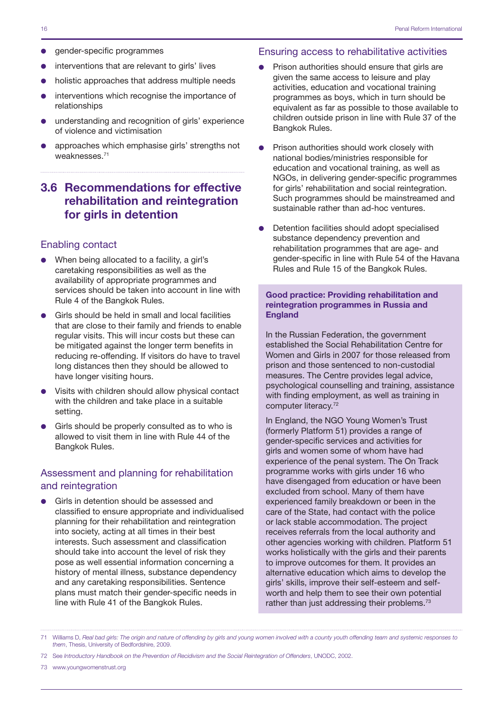- <span id="page-17-0"></span>gender-specific programmes
- interventions that are relevant to girls' lives
- holistic approaches that address multiple needs
- interventions which recognise the importance of relationships
- understanding and recognition of girls' experience of violence and victimisation
- approaches which emphasise girls' strengths not weaknesses.71

# 3.6 Recommendations for effective rehabilitation and reintegration for girls in detention

### Enabling contact

- $\bullet$  When being allocated to a facility, a girl's caretaking responsibilities as well as the availability of appropriate programmes and services should be taken into account in line with Rule 4 of the Bangkok Rules.
- Girls should be held in small and local facilities that are close to their family and friends to enable regular visits. This will incur costs but these can be mitigated against the longer term benefits in reducing re-offending. If visitors do have to travel long distances then they should be allowed to have longer visiting hours.
- Visits with children should allow physical contact with the children and take place in a suitable setting.
- Girls should be properly consulted as to who is allowed to visit them in line with Rule 44 of the Bangkok Rules.

#### Assessment and planning for rehabilitation and reintegration

Girls in detention should be assessed and classified to ensure appropriate and individualised planning for their rehabilitation and reintegration into society, acting at all times in their best interests. Such assessment and classification should take into account the level of risk they pose as well essential information concerning a history of mental illness, substance dependency and any caretaking responsibilities. Sentence plans must match their gender-specific needs in line with Rule 41 of the Bangkok Rules.

#### Ensuring access to rehabilitative activities

- Prison authorities should ensure that girls are given the same access to leisure and play activities, education and vocational training programmes as boys, which in turn should be equivalent as far as possible to those available to children outside prison in line with Rule 37 of the Bangkok Rules.
- Prison authorities should work closely with national bodies/ministries responsible for education and vocational training, as well as NGOs, in delivering gender-specific programmes for girls' rehabilitation and social reintegration. Such programmes should be mainstreamed and sustainable rather than ad-hoc ventures.
- Detention facilities should adopt specialised substance dependency prevention and rehabilitation programmes that are age- and gender-specific in line with Rule 54 of the Havana Rules and Rule 15 of the Bangkok Rules.

#### Good practice: Providing rehabilitation and reintegration programmes in Russia and **England**

In the Russian Federation, the government established the Social Rehabilitation Centre for Women and Girls in 2007 for those released from prison and those sentenced to non-custodial measures. The Centre provides legal advice, psychological counselling and training, assistance with finding employment, as well as training in computer literacy.<sup>72</sup>

In England, the NGO Young Women's Trust (formerly Platform 51) provides a range of gender-specific services and activities for girls and women some of whom have had experience of the penal system. The On Track programme works with girls under 16 who have disengaged from education or have been excluded from school. Many of them have experienced family breakdown or been in the care of the State, had contact with the police or lack stable accommodation. The project receives referrals from the local authority and other agencies working with children. Platform 51 works holistically with the girls and their parents to improve outcomes for them. It provides an alternative education which aims to develop the girls' skills, improve their self-esteem and selfworth and help them to see their own potential rather than just addressing their problems.<sup>73</sup>

73 www.youngwomenstrust.org

<sup>71</sup> Williams D, *Real bad girls: The origin and nature of offending by girls and young women involved with a county youth offending team and systemic responses to them*, Thesis, University of Bedfordshire, 2009.

<sup>72</sup> See *Introductory Handbook on the Prevention of Recidivism and the Social Reintegration of Offenders*, UNODC, 2002.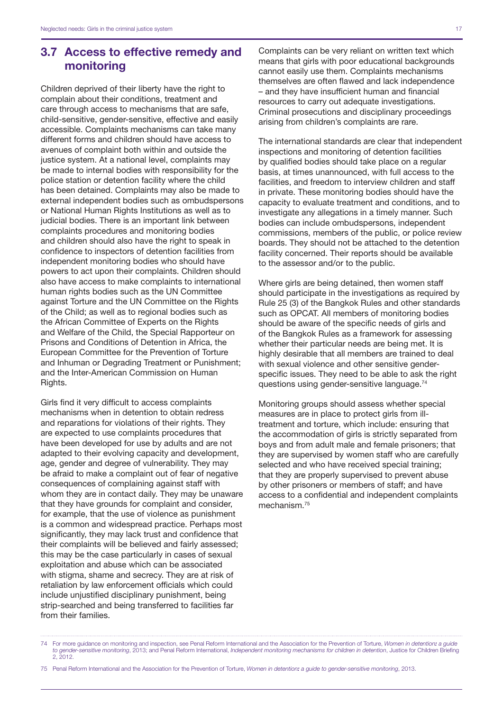## <span id="page-18-0"></span>3.7 Access to effective remedy and monitoring

Children deprived of their liberty have the right to complain about their conditions, treatment and care through access to mechanisms that are safe, child-sensitive, gender-sensitive, effective and easily accessible. Complaints mechanisms can take many different forms and children should have access to avenues of complaint both within and outside the justice system. At a national level, complaints may be made to internal bodies with responsibility for the police station or detention facility where the child has been detained. Complaints may also be made to external independent bodies such as ombudspersons or National Human Rights Institutions as well as to judicial bodies. There is an important link between complaints procedures and monitoring bodies and children should also have the right to speak in confidence to inspectors of detention facilities from independent monitoring bodies who should have powers to act upon their complaints. Children should also have access to make complaints to international human rights bodies such as the UN Committee against Torture and the UN Committee on the Rights of the Child; as well as to regional bodies such as the African Committee of Experts on the Rights and Welfare of the Child, the Special Rapporteur on Prisons and Conditions of Detention in Africa, the European Committee for the Prevention of Torture and Inhuman or Degrading Treatment or Punishment; and the Inter-American Commission on Human Rights.

Girls find it very difficult to access complaints mechanisms when in detention to obtain redress and reparations for violations of their rights. They are expected to use complaints procedures that have been developed for use by adults and are not adapted to their evolving capacity and development, age, gender and degree of vulnerability. They may be afraid to make a complaint out of fear of negative consequences of complaining against staff with whom they are in contact daily. They may be unaware that they have grounds for complaint and consider, for example, that the use of violence as punishment is a common and widespread practice. Perhaps most significantly, they may lack trust and confidence that their complaints will be believed and fairly assessed; this may be the case particularly in cases of sexual exploitation and abuse which can be associated with stigma, shame and secrecy. They are at risk of retaliation by law enforcement officials which could include unjustified disciplinary punishment, being strip-searched and being transferred to facilities far from their families.

Complaints can be very reliant on written text which means that girls with poor educational backgrounds cannot easily use them. Complaints mechanisms themselves are often flawed and lack independence – and they have insufficient human and financial resources to carry out adequate investigations. Criminal prosecutions and disciplinary proceedings arising from children's complaints are rare.

The international standards are clear that independent inspections and monitoring of detention facilities by qualified bodies should take place on a regular basis, at times unannounced, with full access to the facilities, and freedom to interview children and staff in private. These monitoring bodies should have the capacity to evaluate treatment and conditions, and to investigate any allegations in a timely manner. Such bodies can include ombudspersons, independent commissions, members of the public, or police review boards. They should not be attached to the detention facility concerned. Their reports should be available to the assessor and/or to the public.

Where girls are being detained, then women staff should participate in the investigations as required by Rule 25 (3) of the Bangkok Rules and other standards such as OPCAT. All members of monitoring bodies should be aware of the specific needs of girls and of the Bangkok Rules as a framework for assessing whether their particular needs are being met. It is highly desirable that all members are trained to deal with sexual violence and other sensitive genderspecific issues. They need to be able to ask the right questions using gender-sensitive language.<sup>74</sup>

Monitoring groups should assess whether special measures are in place to protect girls from illtreatment and torture, which include: ensuring that the accommodation of girls is strictly separated from boys and from adult male and female prisoners; that they are supervised by women staff who are carefully selected and who have received special training; that they are properly supervised to prevent abuse by other prisoners or members of staff; and have access to a confidential and independent complaints mechanism<sup>75</sup>

<sup>74</sup> For more guidance on monitoring and inspection, see Penal Reform International and the Association for the Prevention of Torture, *Women in detention: a guide to gender-sensitive monitoring*, 2013; and Penal Reform International, *Independent monitoring mechanisms for children in detention*, Justice for Children Briefing 2, 2012.

<sup>75</sup> Penal Reform International and the Association for the Prevention of Torture, *Women in detention: a guide to gender-sensitive monitoring*, 2013.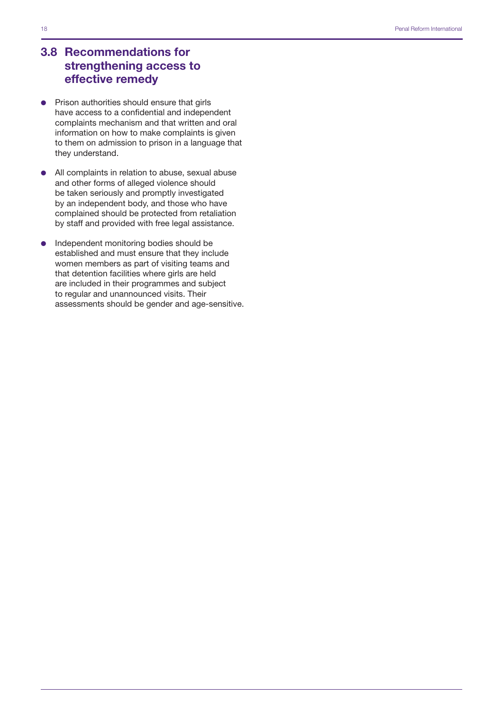# <span id="page-19-0"></span>3.8 Recommendations for strengthening access to effective remedy

- $\bullet$  Prison authorities should ensure that girls have access to a confidential and independent complaints mechanism and that written and oral information on how to make complaints is given to them on admission to prison in a language that they understand.
- All complaints in relation to abuse, sexual abuse and other forms of alleged violence should be taken seriously and promptly investigated by an independent body, and those who have complained should be protected from retaliation by staff and provided with free legal assistance.
- Independent monitoring bodies should be established and must ensure that they include women members as part of visiting teams and that detention facilities where girls are held are included in their programmes and subject to regular and unannounced visits. Their assessments should be gender and age-sensitive.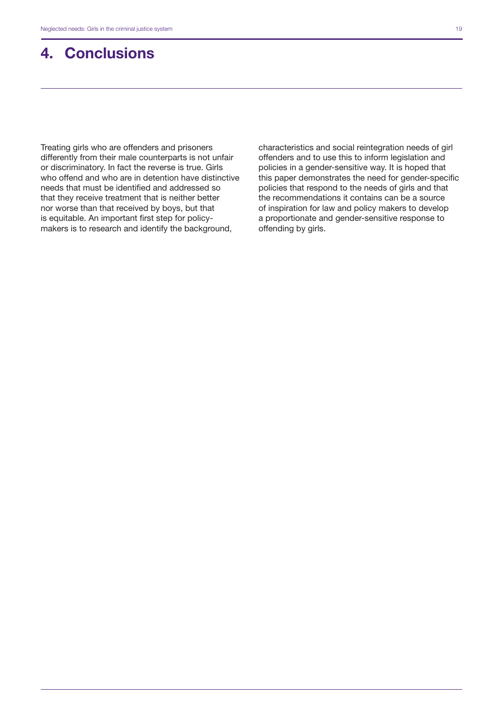# <span id="page-20-0"></span>4. Conclusions

Treating girls who are offenders and prisoners differently from their male counterparts is not unfair or discriminatory. In fact the reverse is true. Girls who offend and who are in detention have distinctive needs that must be identified and addressed so that they receive treatment that is neither better nor worse than that received by boys, but that is equitable. An important first step for policymakers is to research and identify the background,

characteristics and social reintegration needs of girl offenders and to use this to inform legislation and policies in a gender-sensitive way. It is hoped that this paper demonstrates the need for gender-specific policies that respond to the needs of girls and that the recommendations it contains can be a source of inspiration for law and policy makers to develop a proportionate and gender-sensitive response to offending by girls.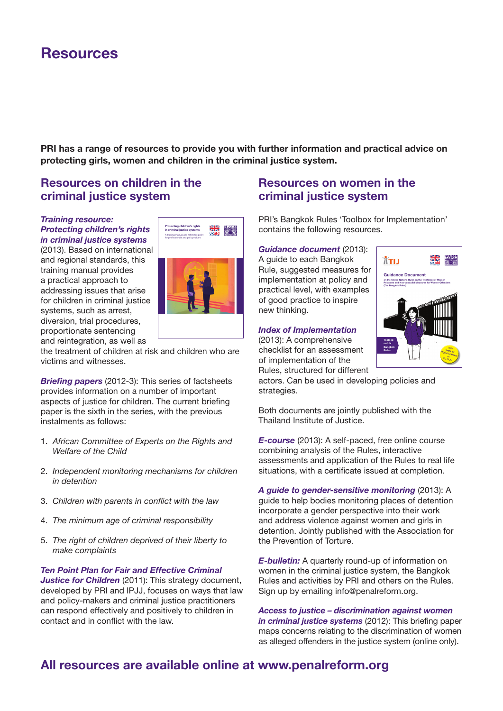# Resources

PRI has a range of resources to provide you with further information and practical advice on protecting girls, women and children in the criminal justice system.

# Resources on children in the criminal justice system

#### *Training resource: Protecting children's rights in criminal justice systems*

(2013). Based on international and regional standards, this training manual provides a practical approach to addressing issues that arise for children in criminal justice systems, such as arrest, diversion, trial procedures, proportionate sentencing and reintegration, as well as



the treatment of children at risk and children who are victims and witnesses.

*Briefing papers* (2012-3): This series of factsheets provides information on a number of important aspects of justice for children. The current briefing paper is the sixth in the series, with the previous instalments as follows:

- 1. *African Committee of Experts on the Rights and Welfare of the Child*
- 2. *Independent monitoring mechanisms for children in detention*
- 3. *Children with parents in conflict with the law*
- 4. *The minimum age of criminal responsibility*
- 5. *The right of children deprived of their liberty to make complaints*

*Ten Point Plan for Fair and Effective Criminal Justice for Children* (2011): This strategy document, developed by PRI and IPJJ, focuses on ways that law and policy-makers and criminal justice practitioners can respond effectively and positively to children in contact and in conflict with the law.

# Resources on women in the criminal justice system

PRI's Bangkok Rules 'Toolbox for Implementation' contains the following resources.

#### *Guidance document* (2013):

Guidance Document on the UN Bangkok Rules and Document on the UN Bangkok Rules and Document on the UN Bangkok Rules and Document on the UN Bangkok Rules and Document on the UN Bangkok Rules and Document on the UN Bangkok R A guide to each Bangkok Rule, suggested measures for implementation at policy and practical level, with examples of good practice to inspire new thinking.

#### **Index of Implementation**

(2013): A comprehensive checklist for an assessment of implementation of the

Rules, structured for different



actors. Can be used in developing policies and strategies.

Both documents are jointly published with the Thailand Institute of Justice.

*E-course* (2013): A self-paced, free online course combining analysis of the Rules, interactive assessments and application of the Rules to real life situations, with a certificate issued at completion.

*A guide to gender-sensitive monitoring* (2013): A guide to help bodies monitoring places of detention incorporate a gender perspective into their work and address violence against women and girls in detention. Jointly published with the Association for the Prevention of Torture.

*E-bulletin:* A quarterly round-up of information on women in the criminal justice system, the Bangkok Rules and activities by PRI and others on the Rules. Sign up by emailing info@penalreform.org.

*Access to justice – discrimination against women in criminal justice systems* (2012): This briefing paper maps concerns relating to the discrimination of women as alleged offenders in the justice system (online only).

# All resources are available online at www.penalreform.org